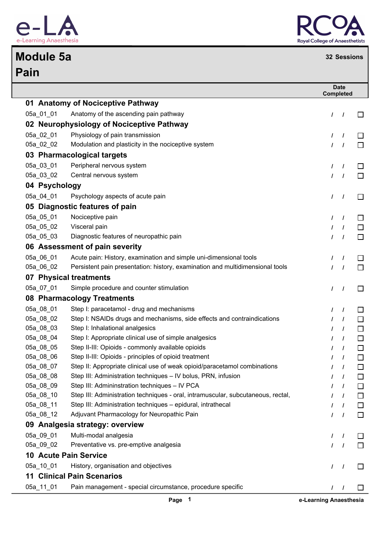

## **Pain Module 5a <sup>32</sup> Sessions**



## **Date Completed 01 Anatomy of Nociceptive Pathway** 05a\_01\_01 Anatomy of the ascending pain pathway **/ /**  $\Box$ **02 Neurophysiology of Nociceptive Pathway** 05a\_02\_01 Physiology of pain transmission **/ /**  $\Box$ 05a\_02\_02 Modulation and plasticity in the nociceptive system **/ /**  $\Box$ **03 Pharmacological targets** 05a\_03\_01 Peripheral nervous system **/ /** П 05a\_03\_02 Central nervous system **/ /**  $\Box$ **04 Psychology** 05a\_04\_01 Psychology aspects of acute pain **/ /** П **05 Diagnostic features of pain** 05a 05 01 Nociceptive pain */ /* /  $\Box$ 05a\_05\_02 Visceral pain **/ /**  $\Box$ 05a\_05\_03 Diagnostic features of neuropathic pain **/ /** П **06 Assessment of pain severity** 05a\_06\_01 Acute pain: History, examination and simple uni-dimensional tools **/ /** П 05a\_06\_02 Persistent pain presentation: history, examination and multidimensional tools **/ /** П **07 Physical treatments** 05a\_07\_01 Simple procedure and counter stimulation **/ /** П **08 Pharmacology Treatments** 05a 08 01 Step I: paracetamol - drug and mechanisms */ /* / П 05a\_08\_02 Step I: NSAIDs drugs and mechanisms, side effects and contraindications **/ /**  $\Box$ 05a\_08\_03 Step I: Inhalational analgesics **/ /**  $\Box$ 05a\_08\_04 Step I: Appropriate clinical use of simple analgesics **/ /**  $\Box$ 05a\_08\_05 Step II-III: Opioids - commonly available opioids **/ /**  $\Box$ 05a\_08\_06 Step II-III: Opioids - principles of opioid treatment **/ /**  $\Box$ 05a\_08\_07 Step II: Appropriate clinical use of weak opioid/paracetamol combinations **/ /** П 05a\_08\_08 Step III: Administration techniques – IV bolus, PRN, infusion **/ /** П 05a\_08\_09 Step III: Admininstration techniques – IV PCA **/ /**  $\Box$ 05a\_08\_10 Step III: Administration techniques - oral, intramuscular, subcutaneous, rectal, **/ /** П 05a\_08\_11 Step III: Administration techniques – epidural, intrathecal **/ /** П 05a\_08\_12 Adjuvant Pharmacology for Neuropathic Pain **/ /**  $\Box$ **09 Analgesia strategy: overview** 05a\_09\_01 Multi-modal analgesia **/ /**  $\Box$ 05a\_09\_02 Preventative vs. pre-emptive analgesia **/ /** П **10 Acute Pain Service** 05a\_10\_01 History, organisation and objectives **/ /** П **11 Clinical Pain Scenarios** 05a\_11\_01 Pain management - special circumstance, procedure specific **/ /** П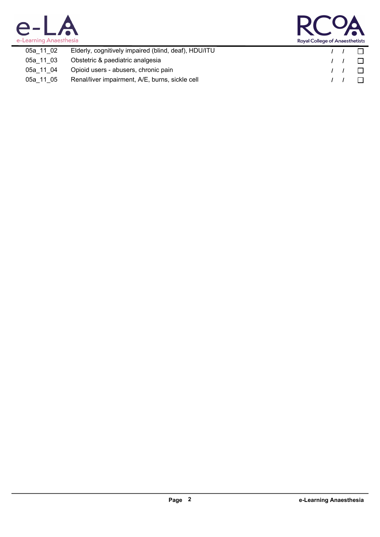



| 05a 11 02 | Elderly, cognitively impaired (blind, deaf), HDU/ITU |            | $\Box$ |
|-----------|------------------------------------------------------|------------|--------|
| 05a 11 03 | Obstetric & paediatric analgesia                     |            | $\Box$ |
| 05a 11 04 | Opioid users - abusers, chronic pain                 |            | $\Box$ |
| 05a 11 05 | Renal/liver impairment, A/E, burns, sickle cell      | $\sqrt{1}$ | $\Box$ |
|           |                                                      |            |        |